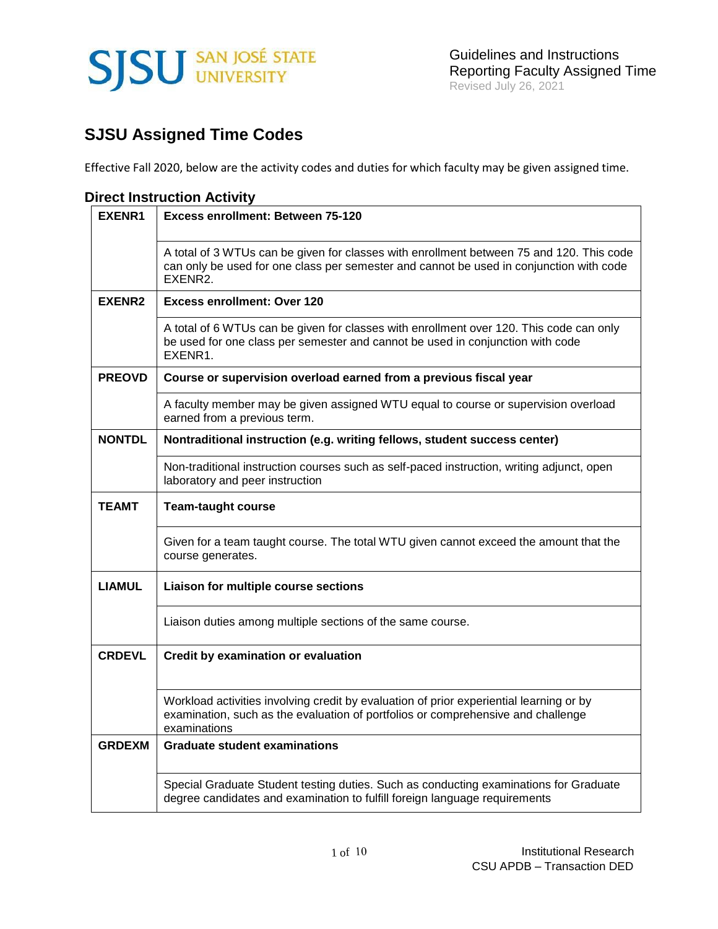

# **SJSU Assigned Time Codes**

Effective Fall 2020, below are the activity codes and duties for which faculty may be given assigned time.

### **Direct Instruction Activity**

| <b>EXENR1</b> | Excess enrollment: Between 75-120                                                                                                                                                              |
|---------------|------------------------------------------------------------------------------------------------------------------------------------------------------------------------------------------------|
|               | A total of 3 WTUs can be given for classes with enrollment between 75 and 120. This code<br>can only be used for one class per semester and cannot be used in conjunction with code<br>EXENR2. |
| <b>EXENR2</b> | <b>Excess enrollment: Over 120</b>                                                                                                                                                             |
|               | A total of 6 WTUs can be given for classes with enrollment over 120. This code can only<br>be used for one class per semester and cannot be used in conjunction with code<br>EXENR1.           |
| <b>PREOVD</b> | Course or supervision overload earned from a previous fiscal year                                                                                                                              |
|               | A faculty member may be given assigned WTU equal to course or supervision overload<br>earned from a previous term.                                                                             |
| <b>NONTDL</b> | Nontraditional instruction (e.g. writing fellows, student success center)                                                                                                                      |
|               | Non-traditional instruction courses such as self-paced instruction, writing adjunct, open<br>laboratory and peer instruction                                                                   |
| <b>TEAMT</b>  | <b>Team-taught course</b>                                                                                                                                                                      |
|               | Given for a team taught course. The total WTU given cannot exceed the amount that the<br>course generates.                                                                                     |
| <b>LIAMUL</b> | Liaison for multiple course sections                                                                                                                                                           |
|               | Liaison duties among multiple sections of the same course.                                                                                                                                     |
| <b>CRDEVL</b> | <b>Credit by examination or evaluation</b>                                                                                                                                                     |
|               | Workload activities involving credit by evaluation of prior experiential learning or by<br>examination, such as the evaluation of portfolios or comprehensive and challenge<br>examinations    |
| <b>GRDEXM</b> | <b>Graduate student examinations</b>                                                                                                                                                           |
|               | Special Graduate Student testing duties. Such as conducting examinations for Graduate<br>degree candidates and examination to fulfill foreign language requirements                            |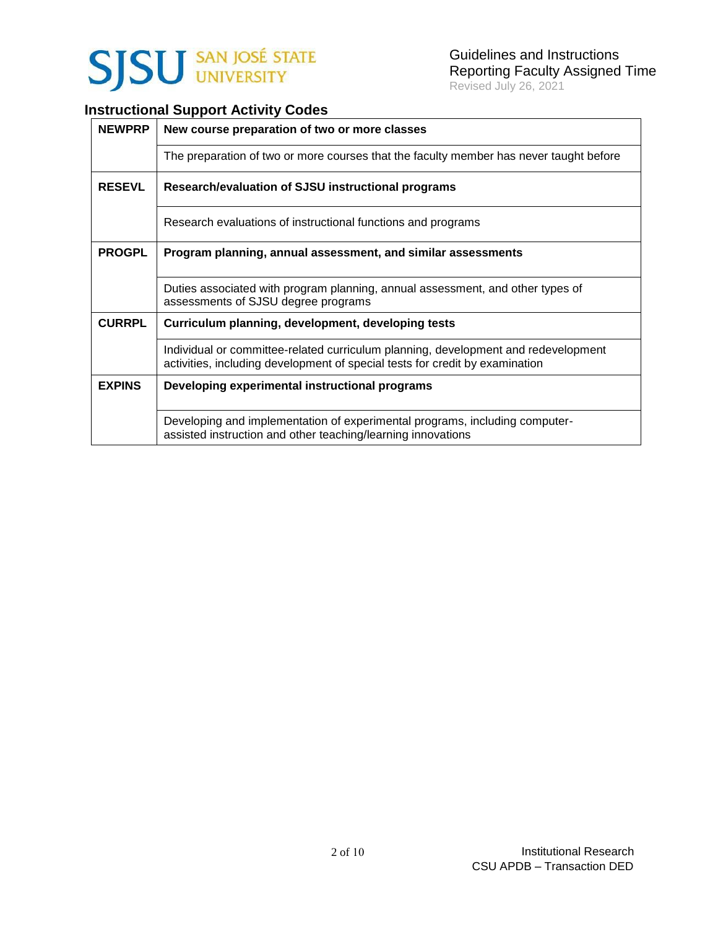

## **Instructional Support Activity Codes**

| <b>NEWPRP</b> | New course preparation of two or more classes                                                                                                                      |
|---------------|--------------------------------------------------------------------------------------------------------------------------------------------------------------------|
|               | The preparation of two or more courses that the faculty member has never taught before                                                                             |
| <b>RESEVL</b> | Research/evaluation of SJSU instructional programs                                                                                                                 |
|               | Research evaluations of instructional functions and programs                                                                                                       |
| <b>PROGPL</b> | Program planning, annual assessment, and similar assessments                                                                                                       |
|               | Duties associated with program planning, annual assessment, and other types of<br>assessments of SJSU degree programs                                              |
| <b>CURRPL</b> | Curriculum planning, development, developing tests                                                                                                                 |
|               | Individual or committee-related curriculum planning, development and redevelopment<br>activities, including development of special tests for credit by examination |
| <b>EXPINS</b> | Developing experimental instructional programs                                                                                                                     |
|               | Developing and implementation of experimental programs, including computer-<br>assisted instruction and other teaching/learning innovations                        |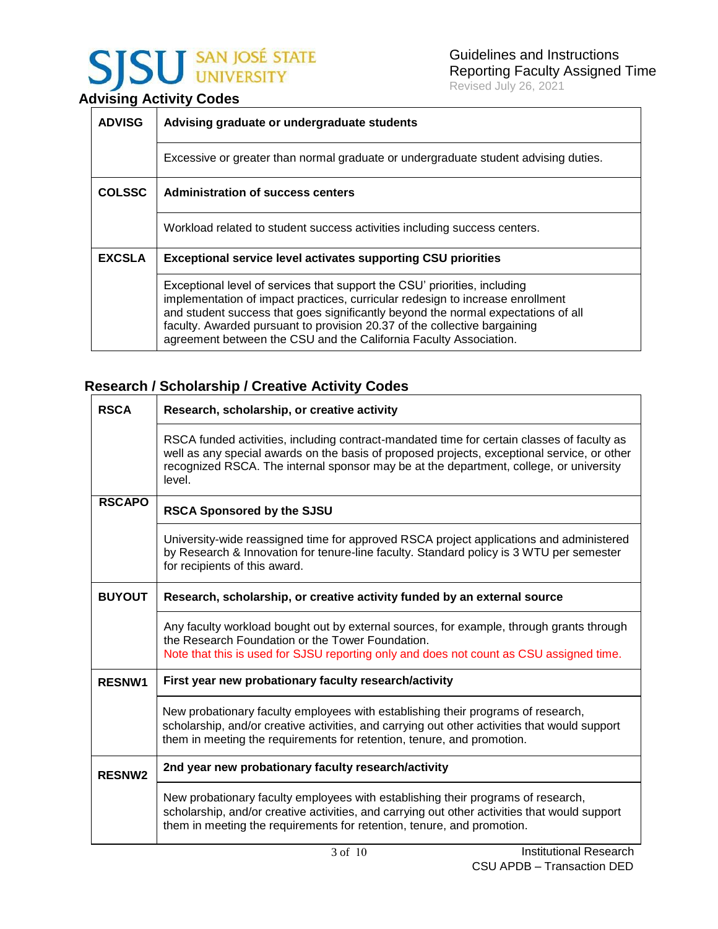# **SJSU** SAN JOSÉ STATE

## **Advising Activity Codes**

| <b>ADVISG</b> | Advising graduate or undergraduate students                                                                                                                                                                                                                                                                                                                                                        |  |  |  |  |
|---------------|----------------------------------------------------------------------------------------------------------------------------------------------------------------------------------------------------------------------------------------------------------------------------------------------------------------------------------------------------------------------------------------------------|--|--|--|--|
|               | Excessive or greater than normal graduate or undergraduate student advising duties.                                                                                                                                                                                                                                                                                                                |  |  |  |  |
| <b>COLSSC</b> | Administration of success centers                                                                                                                                                                                                                                                                                                                                                                  |  |  |  |  |
|               | Workload related to student success activities including success centers.                                                                                                                                                                                                                                                                                                                          |  |  |  |  |
| <b>EXCSLA</b> | <b>Exceptional service level activates supporting CSU priorities</b>                                                                                                                                                                                                                                                                                                                               |  |  |  |  |
|               | Exceptional level of services that support the CSU' priorities, including<br>implementation of impact practices, curricular redesign to increase enrollment<br>and student success that goes significantly beyond the normal expectations of all<br>faculty. Awarded pursuant to provision 20.37 of the collective bargaining<br>agreement between the CSU and the California Faculty Association. |  |  |  |  |

## **Research / Scholarship / Creative Activity Codes**

| <b>RSCA</b>   | Research, scholarship, or creative activity                                                                                                                                                                                                                                                   |
|---------------|-----------------------------------------------------------------------------------------------------------------------------------------------------------------------------------------------------------------------------------------------------------------------------------------------|
|               | RSCA funded activities, including contract-mandated time for certain classes of faculty as<br>well as any special awards on the basis of proposed projects, exceptional service, or other<br>recognized RSCA. The internal sponsor may be at the department, college, or university<br>level. |
| <b>RSCAPO</b> | <b>RSCA Sponsored by the SJSU</b>                                                                                                                                                                                                                                                             |
|               | University-wide reassigned time for approved RSCA project applications and administered<br>by Research & Innovation for tenure-line faculty. Standard policy is 3 WTU per semester<br>for recipients of this award.                                                                           |
| <b>BUYOUT</b> | Research, scholarship, or creative activity funded by an external source                                                                                                                                                                                                                      |
|               | Any faculty workload bought out by external sources, for example, through grants through<br>the Research Foundation or the Tower Foundation.<br>Note that this is used for SJSU reporting only and does not count as CSU assigned time.                                                       |
| <b>RESNW1</b> | First year new probationary faculty research/activity                                                                                                                                                                                                                                         |
|               | New probationary faculty employees with establishing their programs of research,<br>scholarship, and/or creative activities, and carrying out other activities that would support<br>them in meeting the requirements for retention, tenure, and promotion.                                   |
| <b>RESNW2</b> | 2nd year new probationary faculty research/activity                                                                                                                                                                                                                                           |
|               | New probationary faculty employees with establishing their programs of research,<br>scholarship, and/or creative activities, and carrying out other activities that would support<br>them in meeting the requirements for retention, tenure, and promotion.                                   |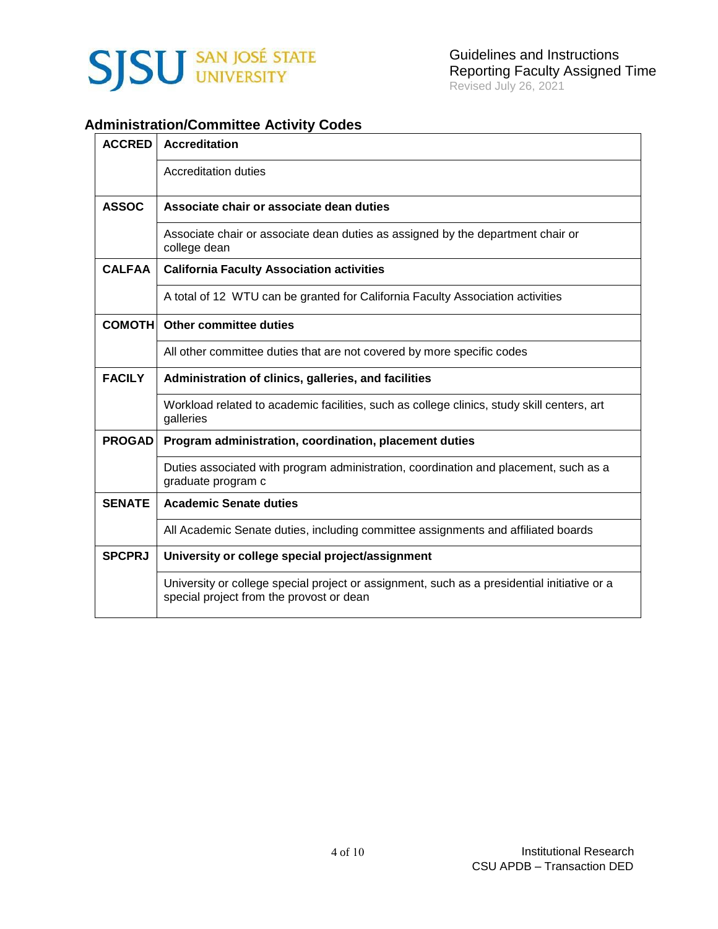

## **Administration/Committee Activity Codes**

| <b>ACCRED</b> | <b>Accreditation</b>                                                                                                                    |
|---------------|-----------------------------------------------------------------------------------------------------------------------------------------|
|               | Accreditation duties                                                                                                                    |
| <b>ASSOC</b>  | Associate chair or associate dean duties                                                                                                |
|               | Associate chair or associate dean duties as assigned by the department chair or<br>college dean                                         |
| <b>CALFAA</b> | <b>California Faculty Association activities</b>                                                                                        |
|               | A total of 12 WTU can be granted for California Faculty Association activities                                                          |
| <b>COMOTH</b> | <b>Other committee duties</b>                                                                                                           |
|               | All other committee duties that are not covered by more specific codes                                                                  |
| <b>FACILY</b> | Administration of clinics, galleries, and facilities                                                                                    |
|               | Workload related to academic facilities, such as college clinics, study skill centers, art<br>galleries                                 |
| <b>PROGAD</b> | Program administration, coordination, placement duties                                                                                  |
|               | Duties associated with program administration, coordination and placement, such as a<br>graduate program c                              |
| <b>SENATE</b> | <b>Academic Senate duties</b>                                                                                                           |
|               | All Academic Senate duties, including committee assignments and affiliated boards                                                       |
| <b>SPCPRJ</b> | University or college special project/assignment                                                                                        |
|               | University or college special project or assignment, such as a presidential initiative or a<br>special project from the provost or dean |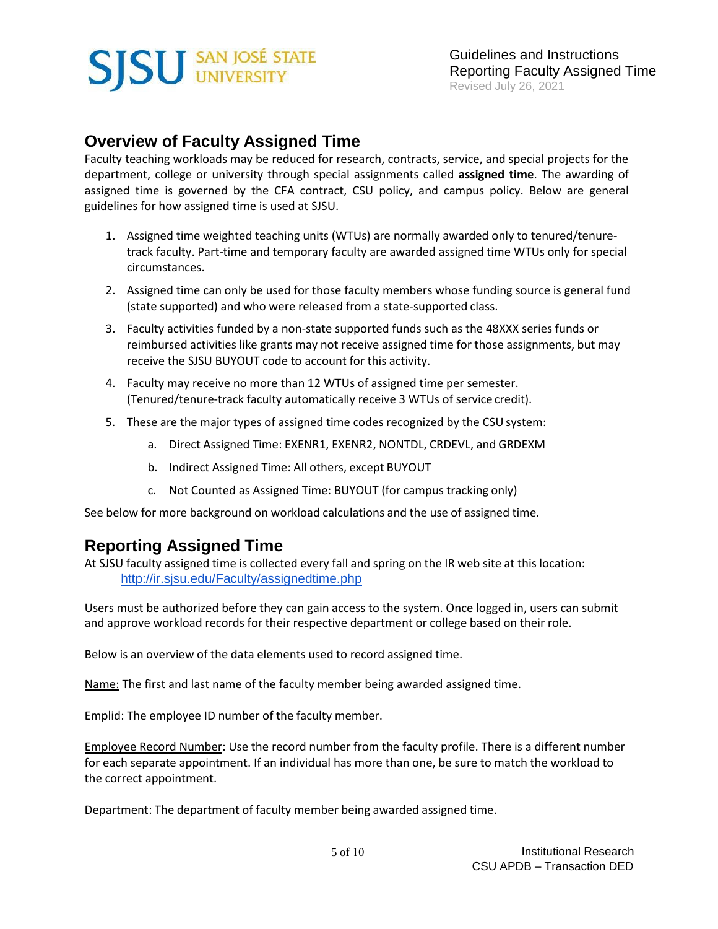# **SISU SAN JOSÉ STATE**

## **Overview of Faculty Assigned Time**

Faculty teaching workloads may be reduced for research, contracts, service, and special projects for the department, college or university through special assignments called **assigned time**. The awarding of assigned time is governed by the CFA contract, CSU policy, and campus policy. Below are general guidelines for how assigned time is used at SJSU.

- 1. Assigned time weighted teaching units (WTUs) are normally awarded only to tenured/tenuretrack faculty. Part-time and temporary faculty are awarded assigned time WTUs only for special circumstances.
- 2. Assigned time can only be used for those faculty members whose funding source is general fund (state supported) and who were released from a state-supported class.
- 3. Faculty activities funded by a non-state supported funds such as the 48XXX series funds or reimbursed activities like grants may not receive assigned time for those assignments, but may receive the SJSU BUYOUT code to account for this activity.
- 4. Faculty may receive no more than 12 WTUs of assigned time per semester. (Tenured/tenure-track faculty automatically receive 3 WTUs of service credit).
- 5. These are the major types of assigned time codes recognized by the CSU system:
	- a. Direct Assigned Time: EXENR1, EXENR2, NONTDL, CRDEVL, and GRDEXM
	- b. Indirect Assigned Time: All others, except BUYOUT
	- c. Not Counted as Assigned Time: BUYOUT (for campus tracking only)

See below for more background on workload calculations and the use of assigned time.

## **Reporting Assigned Time**

At SJSU faculty assigned time is collected every fall and spring on the IR web site at this location: <http://ir.sjsu.edu/Faculty/assignedtime.php>

Users must be authorized before they can gain access to the system. Once logged in, users can submit and approve workload records for their respective department or college based on their role.

Below is an overview of the data elements used to record assigned time.

Name: The first and last name of the faculty member being awarded assigned time.

Emplid: The employee ID number of the faculty member.

Employee Record Number: Use the record number from the faculty profile. There is a different number for each separate appointment. If an individual has more than one, be sure to match the workload to the correct appointment.

Department: The department of faculty member being awarded assigned time.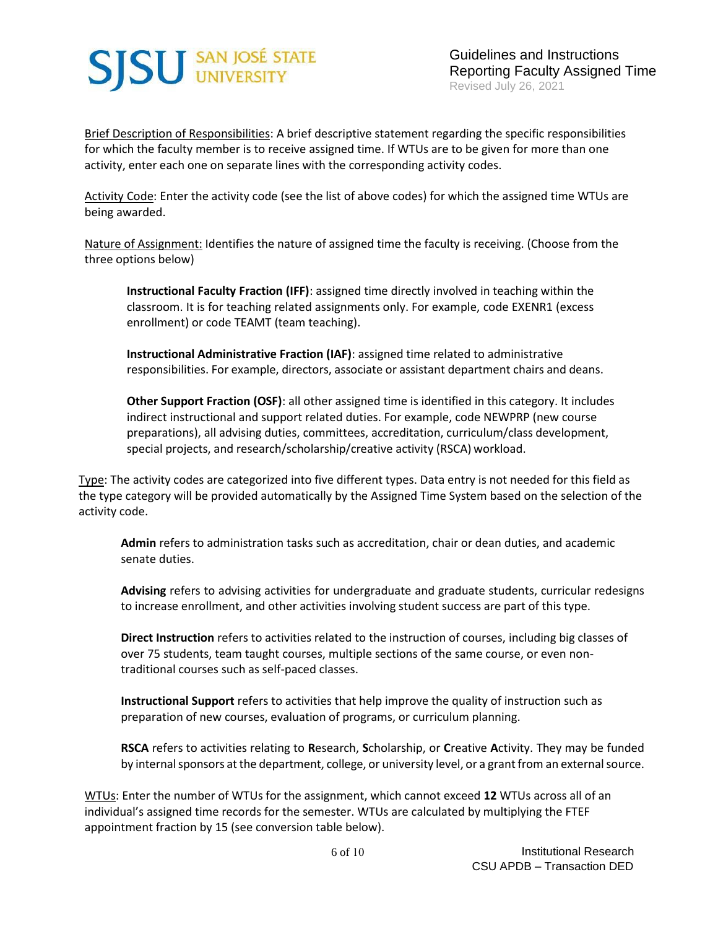# **SJSU** SAN JOSÉ STATE

Guidelines and Instructions Reporting Faculty Assigned Time Revised July 26, 2021

Brief Description of Responsibilities: A brief descriptive statement regarding the specific responsibilities for which the faculty member is to receive assigned time. If WTUs are to be given for more than one activity, enter each one on separate lines with the corresponding activity codes.

Activity Code: Enter the activity code (see the list of above codes) for which the assigned time WTUs are being awarded.

Nature of Assignment: Identifies the nature of assigned time the faculty is receiving. (Choose from the three options below)

**Instructional Faculty Fraction (IFF)**: assigned time directly involved in teaching within the classroom. It is for teaching related assignments only. For example, code EXENR1 (excess enrollment) or code TEAMT (team teaching).

**Instructional Administrative Fraction (IAF)**: assigned time related to administrative responsibilities. For example, directors, associate or assistant department chairs and deans.

**Other Support Fraction (OSF)**: all other assigned time is identified in this category. It includes indirect instructional and support related duties. For example, code NEWPRP (new course preparations), all advising duties, committees, accreditation, curriculum/class development, special projects, and research/scholarship/creative activity (RSCA) workload.

Type: The activity codes are categorized into five different types. Data entry is not needed for this field as the type category will be provided automatically by the Assigned Time System based on the selection of the activity code.

**Admin** refers to administration tasks such as accreditation, chair or dean duties, and academic senate duties.

**Advising** refers to advising activities for undergraduate and graduate students, curricular redesigns to increase enrollment, and other activities involving student success are part of this type.

**Direct Instruction** refers to activities related to the instruction of courses, including big classes of over 75 students, team taught courses, multiple sections of the same course, or even nontraditional courses such as self-paced classes.

**Instructional Support** refers to activities that help improve the quality of instruction such as preparation of new courses, evaluation of programs, or curriculum planning.

**RSCA** refers to activities relating to **R**esearch, **S**cholarship, or **C**reative **A**ctivity. They may be funded by internal sponsors at the department, college, or university level, or a grant from an external source.

WTUs: Enter the number of WTUs for the assignment, which cannot exceed **12** WTUs across all of an individual's assigned time records for the semester. WTUs are calculated by multiplying the FTEF appointment fraction by 15 (see conversion table below).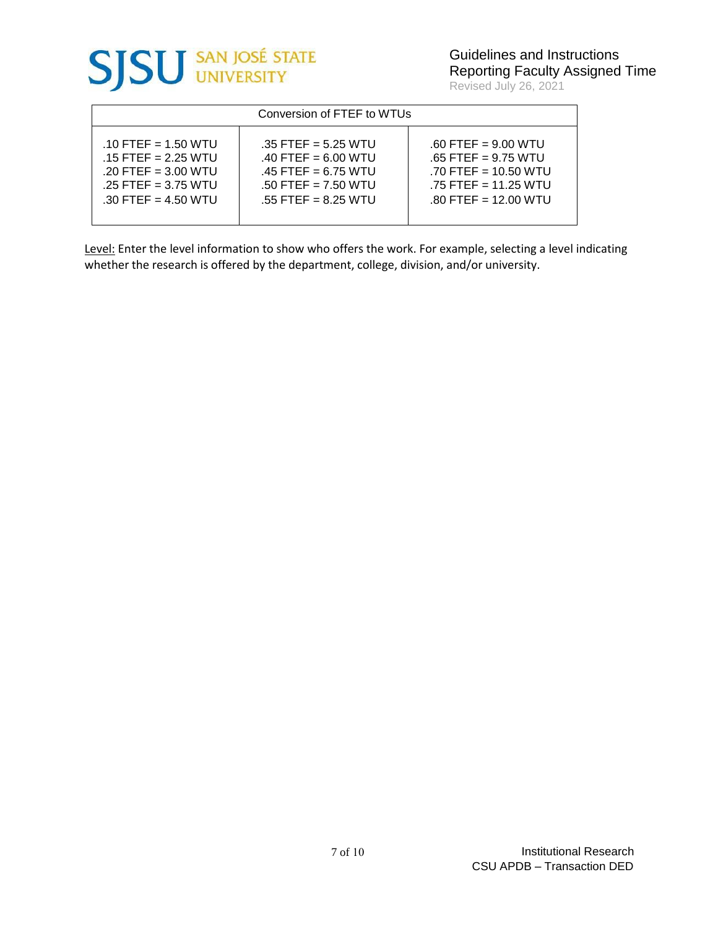

|  | Revised July 26, 2021 |  |  |  |
|--|-----------------------|--|--|--|
|--|-----------------------|--|--|--|

| Conversion of FTEF to WTUs |                       |                        |  |  |
|----------------------------|-----------------------|------------------------|--|--|
| $.10$ FTEF = 1.50 WTU      | $.35$ FTEF = 5.25 WTU | $.60$ FTEF = 9.00 WTU  |  |  |
| $.15$ FTEF = 2.25 WTU      | $.40$ FTEF = 6.00 WTU | $.65$ FTEF = 9.75 WTU  |  |  |
| $.20$ FTEF = 3.00 WTU      | $.45$ FTEF = 6.75 WTU | $.70$ FTEF = 10.50 WTU |  |  |
| $.25$ FTEF = 3.75 WTU      | $.50$ FTEF = 7.50 WTU | $.75$ FTEF = 11.25 WTU |  |  |
| $.30$ FTEF = 4.50 WTU      | $.55$ FTEF = 8.25 WTU | $.80$ FTEF = 12.00 WTU |  |  |

Level: Enter the level information to show who offers the work. For example, selecting a level indicating whether the research is offered by the department, college, division, and/or university.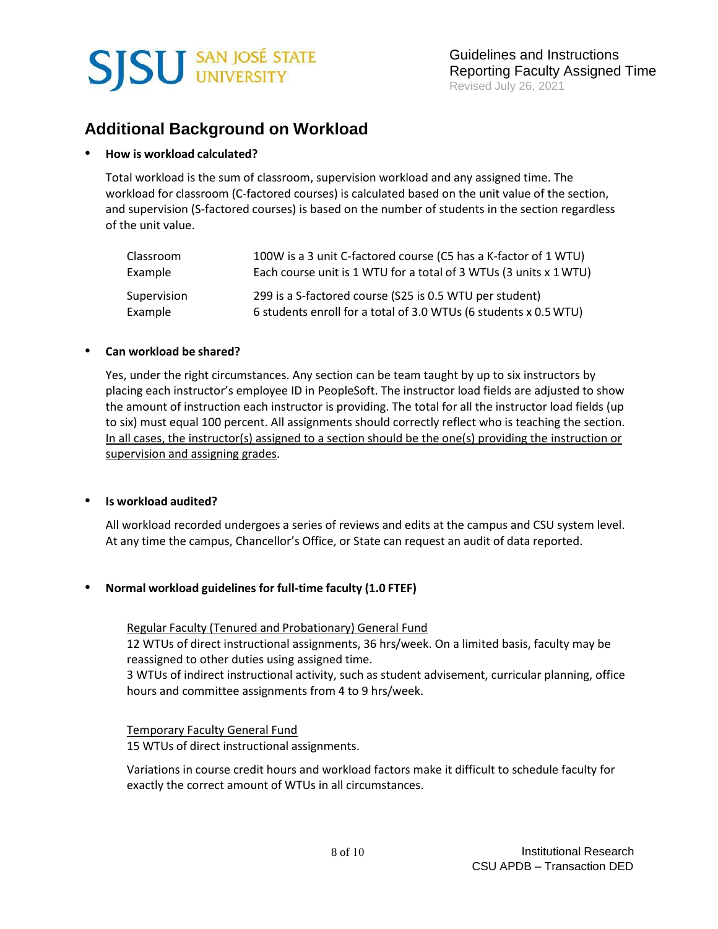

## **Additional Background on Workload**

### **How is workload calculated?**

Total workload is the sum of classroom, supervision workload and any assigned time. The workload for classroom (C-factored courses) is calculated based on the unit value of the section, and supervision (S-factored courses) is based on the number of students in the section regardless of the unit value.

| Classroom   | 100W is a 3 unit C-factored course (C5 has a K-factor of 1 WTU)   |
|-------------|-------------------------------------------------------------------|
| Example     | Each course unit is 1 WTU for a total of 3 WTUs (3 units x 1 WTU) |
| Supervision | 299 is a S-factored course (S25 is 0.5 WTU per student)           |
| Example     | 6 students enroll for a total of 3.0 WTUs (6 students x 0.5 WTU)  |

### **Can workload be shared?**

Yes, under the right circumstances. Any section can be team taught by up to six instructors by placing each instructor's employee ID in PeopleSoft. The instructor load fields are adjusted to show the amount of instruction each instructor is providing. The total for all the instructor load fields (up to six) must equal 100 percent. All assignments should correctly reflect who is teaching the section. In all cases, the instructor(s) assigned to a section should be the one(s) providing the instruction or supervision and assigning grades.

### **Is workload audited?**

All workload recorded undergoes a series of reviews and edits at the campus and CSU system level. At any time the campus, Chancellor's Office, or State can request an audit of data reported.

### **Normal workload guidelines for full-time faculty (1.0 FTEF)**

### Regular Faculty (Tenured and Probationary) General Fund

12 WTUs of direct instructional assignments, 36 hrs/week. On a limited basis, faculty may be reassigned to other duties using assigned time.

3 WTUs of indirect instructional activity, such as student advisement, curricular planning, office hours and committee assignments from 4 to 9 hrs/week.

### Temporary Faculty General Fund 15 WTUs of direct instructional assignments.

Variations in course credit hours and workload factors make it difficult to schedule faculty for exactly the correct amount of WTUs in all circumstances.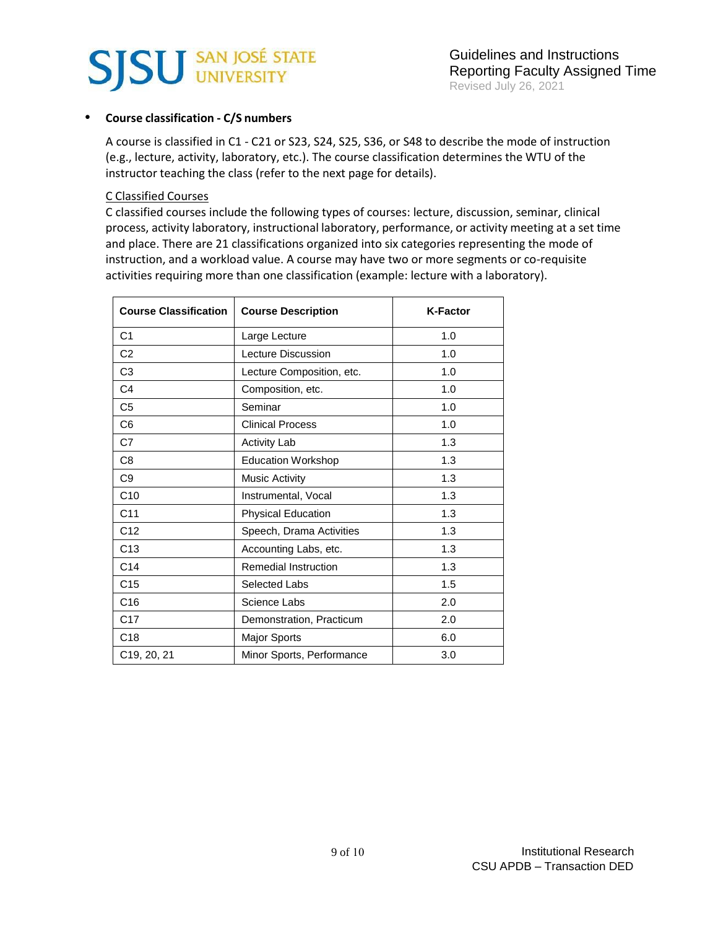

#### **Course classification - C/S numbers**

A course is classified in C1 - C21 or S23, S24, S25, S36, or S48 to describe the mode of instruction (e.g., lecture, activity, laboratory, etc.). The course classification determines the WTU of the instructor teaching the class (refer to the next page for details).

#### C Classified Courses

C classified courses include the following types of courses: lecture, discussion, seminar, clinical process, activity laboratory, instructional laboratory, performance, or activity meeting at a set time and place. There are 21 classifications organized into six categories representing the mode of instruction, and a workload value. A course may have two or more segments or co-requisite activities requiring more than one classification (example: lecture with a laboratory).

| <b>Course Classification</b> | <b>Course Description</b>   | <b>K-Factor</b> |
|------------------------------|-----------------------------|-----------------|
| C <sub>1</sub>               | Large Lecture               | 1.0             |
| C <sub>2</sub>               | Lecture Discussion          | 1.0             |
| C <sub>3</sub>               | Lecture Composition, etc.   | 1.0             |
| C <sub>4</sub>               | Composition, etc.           | 1.0             |
| C <sub>5</sub>               | Seminar                     | 1.0             |
| C <sub>6</sub>               | <b>Clinical Process</b>     | 1.0             |
| C7                           | <b>Activity Lab</b>         | 1.3             |
| C <sub>8</sub>               | <b>Education Workshop</b>   | 1.3             |
| C9                           | <b>Music Activity</b>       | 1.3             |
| C10                          | Instrumental, Vocal         | 1.3             |
| C <sub>11</sub>              | <b>Physical Education</b>   | 1.3             |
| C12                          | Speech, Drama Activities    | 1.3             |
| C <sub>13</sub>              | Accounting Labs, etc.       | 1.3             |
| C14                          | <b>Remedial Instruction</b> | 1.3             |
| C <sub>15</sub>              | Selected Labs               | 1.5             |
| C16                          | Science Labs                | 2.0             |
| C <sub>17</sub>              | Demonstration, Practicum    | 2.0             |
| C <sub>18</sub>              | Major Sports                | 6.0             |
| C19, 20, 21                  | Minor Sports, Performance   | 3.0             |